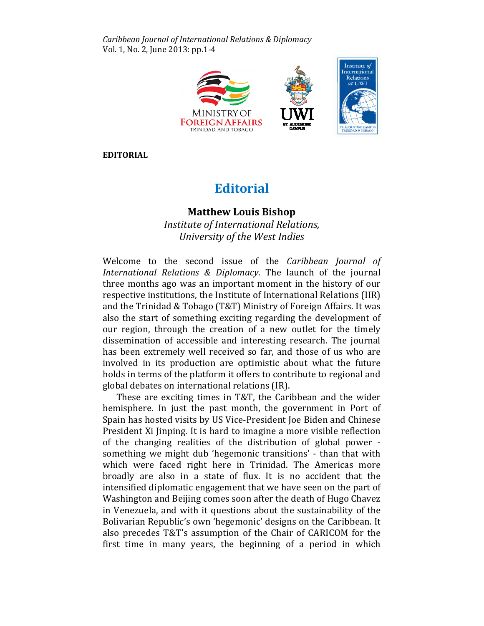Caribbean Journal of International Relations & Diplomacy Vol. 1, No. 2, June 2013: pp.1-4



EDITORIAL

## **Editorial**

## Matthew Louis Bishop Louis BishopInstitute of International Relations, Relations, University of the West Indies University

Welcome to the second issue of the Caribbean Journal of International Relations & Diplomacy . The launch of the journal three months ago was an important moment in the history of our respective institutions, the Institute of International Relations Relations (IIR) and the Trinidad & Tobago (T&T) Ministry of Foreign Affairs. It was also the start of something exciting regarding the development of our region, through the creation of a new outlet for the timely dissemination of accessible and interesting research. The journal The journal has been extremely well received so far, and those of us who are involved in its production are optimistic about what the future holds in terms of the platform it offers to contribute to regional and global debates on international relations (IR).

bal debates on international relations (IR).<br>These are exciting times in T&T, the Caribbean and the wider hemisphere. In just the past month, the government in Port of Port of Spain has hosted visits by US Vice-President Joe Biden and Chinese<br>President Xi Jinping. It is hard to imagine a more visible reflection President Xi Jinping. It is hard to imagine a more visible reflection of the changing realities of the distribution of global power power something we might dub 'hegemonic transitions' - than that with which were faced right here in Trinidad. The Americas more which were faced right here in Trinidad. The Americas more<br>broadly are also in a state of flux. It is no accident that the intensified diplomatic engagement that we have seen on the part of Washington and Beijing comes soon after the death of Hugo Chavez in Venezuela, and with it questions about the sustainability of the Bolivarian Republic's own 'hegemonic' designs on the Caribbean. It also precedes T&T's assumption of the Chair of CARICOM for the first time in many years, the beginning of a period in which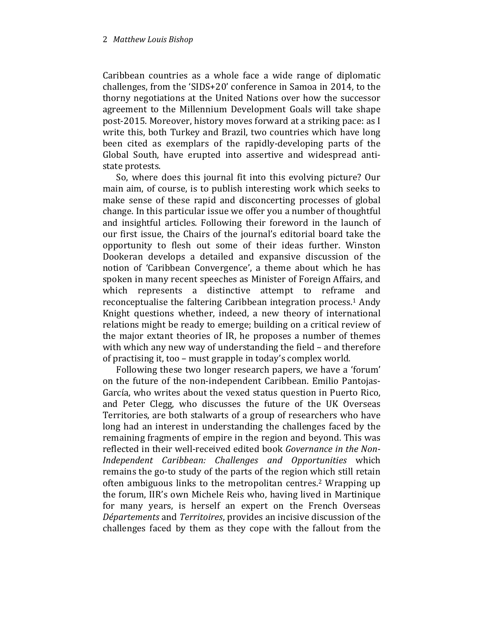Caribbean countries as a whole face a wide range of diplomatic challenges, from the 'SIDS+20' conference in Samoa in 2014, to the thorny negotiations at the United Nations over how the successor agreement to the Millennium Development Goals will take shape post-2015. Moreover, history moves forward at a striking pace: as I write this, both Turkey and Brazil, two countries which have long been cited as exemplars of the rapidly-developing parts of the Global South, have erupted into assertive and widespread antistate protests.

So, where does this journal fit into this evolving picture? Our main aim, of course, is to publish interesting work which seeks to make sense of these rapid and disconcerting processes of global change. In this particular issue we offer you a number of thoughtful and insightful articles. Following their foreword in the launch of our first issue, the Chairs of the journal's editorial board take the opportunity to flesh out some of their ideas further. Winston Dookeran develops a detailed and expansive discussion of the notion of 'Caribbean Convergence', a theme about which he has spoken in many recent speeches as Minister of Foreign Affairs, and which represents a distinctive attempt to reframe and reconceptualise the faltering Caribbean integration process.<sup>1</sup> Andy Knight questions whether, indeed, a new theory of international relations might be ready to emerge; building on a critical review of the major extant theories of IR, he proposes a number of themes with which any new way of understanding the field – and therefore of practising it, too – must grapple in today's complex world.

Following these two longer research papers, we have a 'forum' on the future of the non-independent Caribbean. Emilio Pantojas-García, who writes about the vexed status question in Puerto Rico, and Peter Clegg, who discusses the future of the UK Overseas Territories, are both stalwarts of a group of researchers who have long had an interest in understanding the challenges faced by the remaining fragments of empire in the region and beyond. This was reflected in their well-received edited book Governance in the Non-Independent Caribbean: Challenges and Opportunities which remains the go-to study of the parts of the region which still retain often ambiguous links to the metropolitan centres.2 Wrapping up the forum, IIR's own Michele Reis who, having lived in Martinique for many years, is herself an expert on the French Overseas Départements and Territoires, provides an incisive discussion of the challenges faced by them as they cope with the fallout from the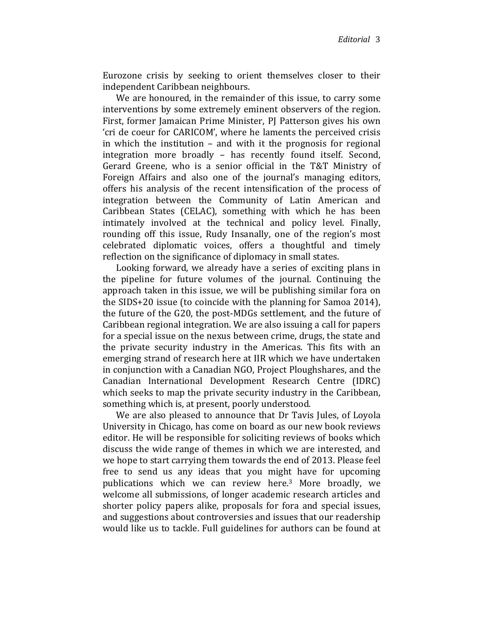Eurozone crisis by seeking to orient themselves closer to their independent Caribbean neighbours.

We are honoured, in the remainder of this issue, to carry some interventions by some extremely eminent observers of the region. First, former Jamaican Prime Minister, PJ Patterson gives his own 'cri de coeur for CARICOM', where he laments the perceived crisis in which the institution – and with it the prognosis for regional integration more broadly – has recently found itself. Second, Gerard Greene, who is a senior official in the T&T Ministry of Foreign Affairs and also one of the journal's managing editors, offers his analysis of the recent intensification of the process of integration between the Community of Latin American and Caribbean States (CELAC), something with which he has been intimately involved at the technical and policy level. Finally, rounding off this issue, Rudy Insanally, one of the region's most celebrated diplomatic voices, offers a thoughtful and timely reflection on the significance of diplomacy in small states.

Looking forward, we already have a series of exciting plans in the pipeline for future volumes of the journal. Continuing the approach taken in this issue, we will be publishing similar fora on the SIDS+20 issue (to coincide with the planning for Samoa 2014), the future of the G20, the post-MDGs settlement, and the future of Caribbean regional integration. We are also issuing a call for papers for a special issue on the nexus between crime, drugs, the state and the private security industry in the Americas. This fits with an emerging strand of research here at IIR which we have undertaken in conjunction with a Canadian NGO, Project Ploughshares, and the Canadian International Development Research Centre (IDRC) which seeks to map the private security industry in the Caribbean, something which is, at present, poorly understood.

We are also pleased to announce that Dr Tavis Jules, of Loyola University in Chicago, has come on board as our new book reviews editor. He will be responsible for soliciting reviews of books which discuss the wide range of themes in which we are interested, and we hope to start carrying them towards the end of 2013. Please feel free to send us any ideas that you might have for upcoming publications which we can review here.3 More broadly, we welcome all submissions, of longer academic research articles and shorter policy papers alike, proposals for fora and special issues, and suggestions about controversies and issues that our readership would like us to tackle. Full guidelines for authors can be found at